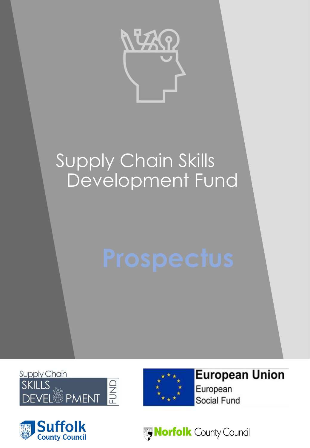

# Supply Chain Skills Development Fund

Supply Chain **EUND SKILLS** ୍ଷୁ</sup><br>ତା PMENT





**European Union** European **Social Fund** 

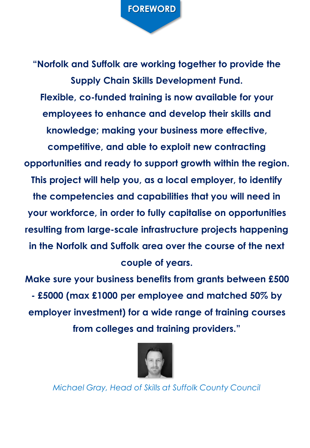**"Norfolk and Suffolk are working together to provide the Supply Chain Skills Development Fund. Flexible, co-funded training is now available for your employees to enhance and develop their skills and knowledge; making your business more effective, competitive, and able to exploit new contracting opportunities and ready to support growth within the region. This project will help you, as a local employer, to identify the competencies and capabilities that you will need in your workforce, in order to fully capitalise on opportunities resulting from large-scale infrastructure projects happening in the Norfolk and Suffolk area over the course of the next couple of years.**

**Make sure your business benefits from grants between £500 - £5000 (max £1000 per employee and matched 50% by employer investment) for a wide range of training courses from colleges and training providers."**



*Michael Gray, Head of Skills at Suffolk County Council*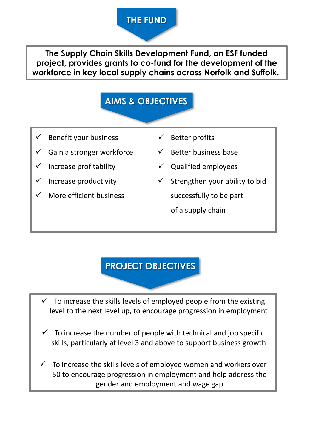## **THE FUND**

**The Supply Chain Skills Development Fund, an ESF funded project, provides grants to co-fund for the development of the workforce in key local supply chains across Norfolk and Suffolk.**

# **AIMS & OBJECTIVES**

- Benefit your business
- Gain a stronger workforce
- Increase profitability
- Increase productivity
- More efficient business
- ✓ Better profits
- Better business base
- ✓ Qualified employees
- $\checkmark$  Strengthen your ability to bid successfully to be part of a supply chain

### **PROJECT OBJECTIVES**

To increase the skills levels of employed people from the existing level to the next level up, to encourage progression in employment

- $\checkmark$  To increase the number of people with technical and job specific skills, particularly at level 3 and above to support business growth
- To increase the skills levels of employed women and workers over 50 to encourage progression in employment and help address the gender and employment and wage gap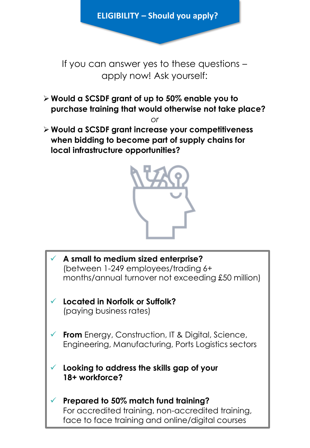**ELIGIBILITY – Should you apply?** 

If you can answer yes to these questions – apply now! Ask yourself:

➢ **Would a SCSDF grant of up to 50% enable you to purchase training that would otherwise not take place?**

*or*

➢ **Would a SCSDF grant increase your competitiveness when bidding to become part of supply chains for local infrastructure opportunities?**



- ✓ **A small to medium sized enterprise?**  (between 1-249 employees/trading 6+ months/annual turnover not exceeding £50 million)
- ✓ **Located in Norfolk or Suffolk?**  (paying business rates)
- ✓ **From** Energy, Construction, IT & Digital, Science, Engineering, Manufacturing, Ports Logistics sectors
- ✓ **Looking to address the skills gap of your 18+ workforce?**
- ✓ **Prepared to 50% match fund training?**  For accredited training, non-accredited training, face to face training and online/digital courses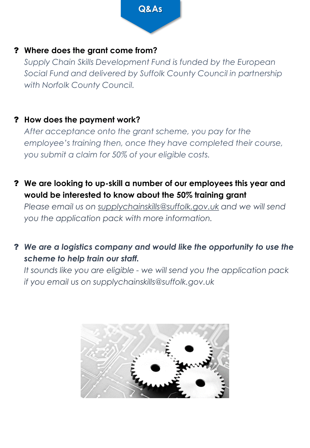

#### ? **Where does the grant come from?**

*Supply Chain Skills Development Fund is funded by the European Social Fund and delivered by Suffolk County Council in partnership with Norfolk County Council.*

#### ? **How does the payment work?**

*After acceptance onto the grant scheme, you pay for the employee's training then, once they have completed their course, you submit a claim for 50% of your eligible costs.*

? **We are looking to up-skill a number of our employees this year and would be interested to know about the 50% training grant**

*Please email us on [supplychainskills@suffolk.gov.uk](mailto:supplychainskills@suffolk.gov.uk) and we will send you the application pack with more information.*

? *We are a logistics company and would like the opportunity to use the scheme to help train our staff.*

*It sounds like you are eligible - we will send you the application pack if you email us on supplychainskills@suffolk.gov.uk*

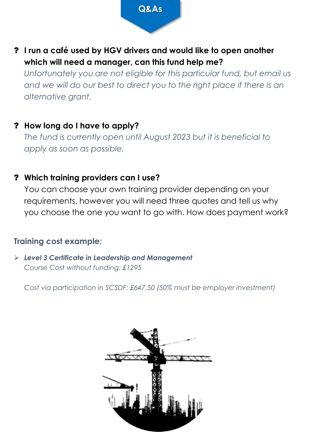

? **I run a café used by HGV drivers and would like to open another which will need a manager, can this fund help me?**

*Unfortunately you are not eligible for this particular fund, but email us*  and we will do our best to direct you to the right place if there is an *alternative grant.*

#### ? **How long do I have to apply?**

*The fund is currently open until August 2023 but it is beneficial to apply as soon as possible.*

#### ? **Which training providers can I use?**

You can choose your own training provider depending on your requirements, however you will need three quotes and tell us why you choose the one you want to go with. How does payment work?

#### **Training cost example:**

➢ *Level 3 Certificate in Leadership and Management Course Cost without funding: £1295* 

*Cost via participation in SCSDF: £647.50 (50% must be employer investment)*

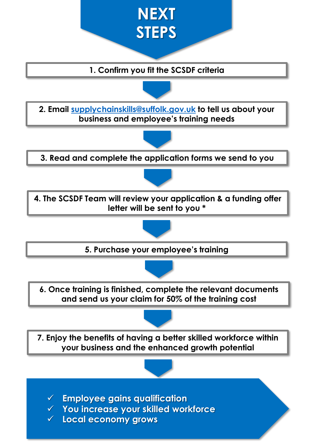